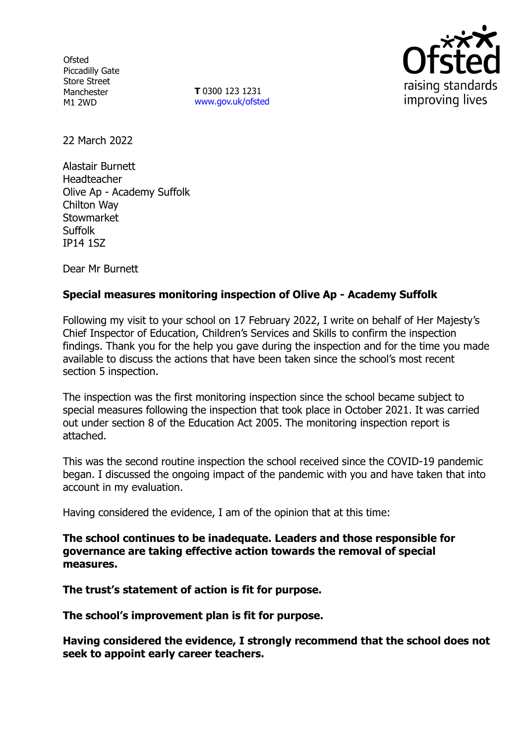**Ofsted** Piccadilly Gate Store Street Manchester M1 2WD

**T** 0300 123 1231 [www.gov.uk/ofsted](http://www.gov.uk/ofsted)



22 March 2022

Alastair Burnett Headteacher Olive Ap - Academy Suffolk Chilton Way **Stowmarket** Suffolk IP14 1SZ

Dear Mr Burnett

# **Special measures monitoring inspection of Olive Ap - Academy Suffolk**

Following my visit to your school on 17 February 2022, I write on behalf of Her Majesty's Chief Inspector of Education, Children's Services and Skills to confirm the inspection findings. Thank you for the help you gave during the inspection and for the time you made available to discuss the actions that have been taken since the school's most recent section 5 inspection.

The inspection was the first monitoring inspection since the school became subject to special measures following the inspection that took place in October 2021. It was carried out under section 8 of the Education Act 2005. The monitoring inspection report is attached.

This was the second routine inspection the school received since the COVID-19 pandemic began. I discussed the ongoing impact of the pandemic with you and have taken that into account in my evaluation.

Having considered the evidence, I am of the opinion that at this time:

**The school continues to be inadequate. Leaders and those responsible for governance are taking effective action towards the removal of special measures.**

**The trust's statement of action is fit for purpose.**

**The school's improvement plan is fit for purpose.**

**Having considered the evidence, I strongly recommend that the school does not seek to appoint early career teachers.**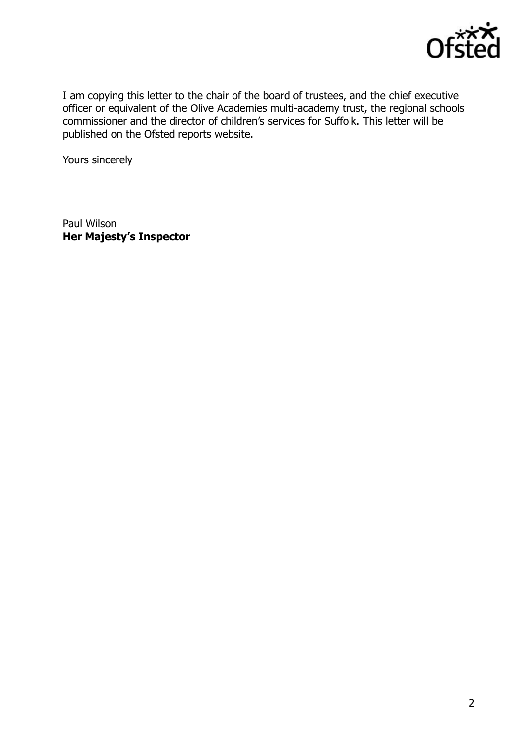

I am copying this letter to the chair of the board of trustees, and the chief executive officer or equivalent of the Olive Academies multi-academy trust, the regional schools commissioner and the director of children's services for Suffolk. This letter will be published on the Ofsted reports website.

Yours sincerely

Paul Wilson **Her Majesty's Inspector**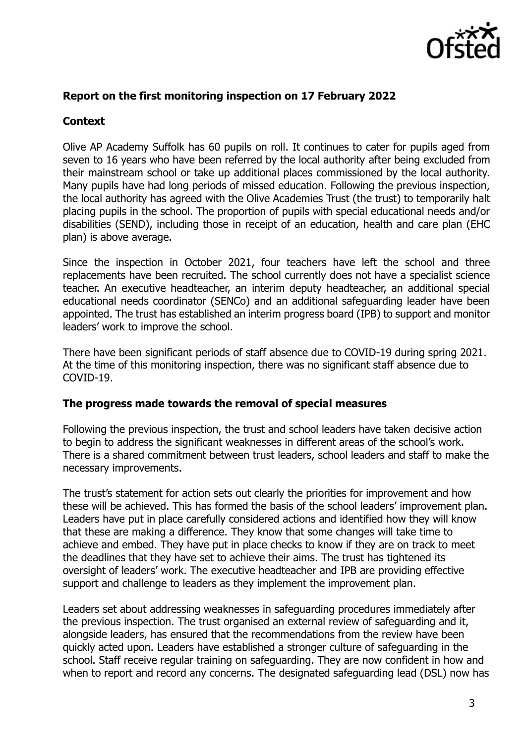

### **Report on the first monitoring inspection on 17 February 2022**

## **Context**

Olive AP Academy Suffolk has 60 pupils on roll. It continues to cater for pupils aged from seven to 16 years who have been referred by the local authority after being excluded from their mainstream school or take up additional places commissioned by the local authority. Many pupils have had long periods of missed education. Following the previous inspection, the local authority has agreed with the Olive Academies Trust (the trust) to temporarily halt placing pupils in the school. The proportion of pupils with special educational needs and/or disabilities (SEND), including those in receipt of an education, health and care plan (EHC plan) is above average.

Since the inspection in October 2021, four teachers have left the school and three replacements have been recruited. The school currently does not have a specialist science teacher. An executive headteacher, an interim deputy headteacher, an additional special educational needs coordinator (SENCo) and an additional safeguarding leader have been appointed. The trust has established an interim progress board (IPB) to support and monitor leaders' work to improve the school.

There have been significant periods of staff absence due to COVID-19 during spring 2021. At the time of this monitoring inspection, there was no significant staff absence due to COVID-19.

#### **The progress made towards the removal of special measures**

Following the previous inspection, the trust and school leaders have taken decisive action to begin to address the significant weaknesses in different areas of the school's work. There is a shared commitment between trust leaders, school leaders and staff to make the necessary improvements.

The trust's statement for action sets out clearly the priorities for improvement and how these will be achieved. This has formed the basis of the school leaders' improvement plan. Leaders have put in place carefully considered actions and identified how they will know that these are making a difference. They know that some changes will take time to achieve and embed. They have put in place checks to know if they are on track to meet the deadlines that they have set to achieve their aims. The trust has tightened its oversight of leaders' work. The executive headteacher and IPB are providing effective support and challenge to leaders as they implement the improvement plan.

Leaders set about addressing weaknesses in safeguarding procedures immediately after the previous inspection. The trust organised an external review of safeguarding and it, alongside leaders, has ensured that the recommendations from the review have been quickly acted upon. Leaders have established a stronger culture of safeguarding in the school. Staff receive regular training on safeguarding. They are now confident in how and when to report and record any concerns. The designated safeguarding lead (DSL) now has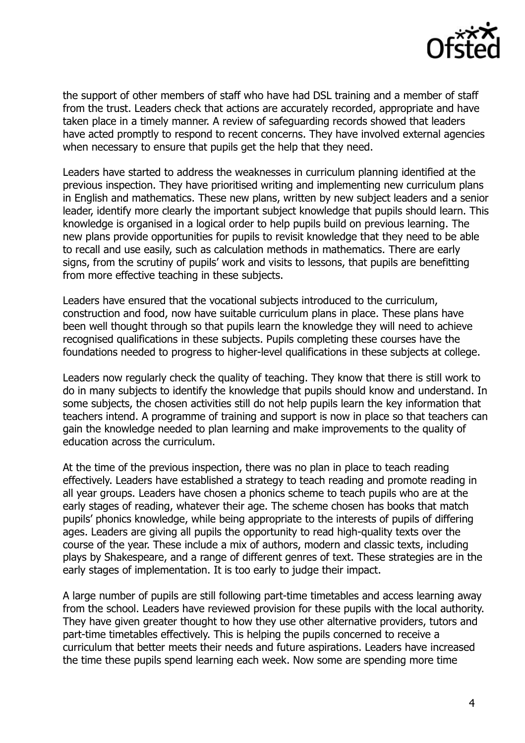

the support of other members of staff who have had DSL training and a member of staff from the trust. Leaders check that actions are accurately recorded, appropriate and have taken place in a timely manner. A review of safeguarding records showed that leaders have acted promptly to respond to recent concerns. They have involved external agencies when necessary to ensure that pupils get the help that they need.

Leaders have started to address the weaknesses in curriculum planning identified at the previous inspection. They have prioritised writing and implementing new curriculum plans in English and mathematics. These new plans, written by new subject leaders and a senior leader, identify more clearly the important subject knowledge that pupils should learn. This knowledge is organised in a logical order to help pupils build on previous learning. The new plans provide opportunities for pupils to revisit knowledge that they need to be able to recall and use easily, such as calculation methods in mathematics. There are early signs, from the scrutiny of pupils' work and visits to lessons, that pupils are benefitting from more effective teaching in these subjects.

Leaders have ensured that the vocational subjects introduced to the curriculum, construction and food, now have suitable curriculum plans in place. These plans have been well thought through so that pupils learn the knowledge they will need to achieve recognised qualifications in these subjects. Pupils completing these courses have the foundations needed to progress to higher-level qualifications in these subjects at college.

Leaders now regularly check the quality of teaching. They know that there is still work to do in many subjects to identify the knowledge that pupils should know and understand. In some subjects, the chosen activities still do not help pupils learn the key information that teachers intend. A programme of training and support is now in place so that teachers can gain the knowledge needed to plan learning and make improvements to the quality of education across the curriculum.

At the time of the previous inspection, there was no plan in place to teach reading effectively. Leaders have established a strategy to teach reading and promote reading in all year groups. Leaders have chosen a phonics scheme to teach pupils who are at the early stages of reading, whatever their age. The scheme chosen has books that match pupils' phonics knowledge, while being appropriate to the interests of pupils of differing ages. Leaders are giving all pupils the opportunity to read high-quality texts over the course of the year. These include a mix of authors, modern and classic texts, including plays by Shakespeare, and a range of different genres of text. These strategies are in the early stages of implementation. It is too early to judge their impact.

A large number of pupils are still following part-time timetables and access learning away from the school. Leaders have reviewed provision for these pupils with the local authority. They have given greater thought to how they use other alternative providers, tutors and part-time timetables effectively. This is helping the pupils concerned to receive a curriculum that better meets their needs and future aspirations. Leaders have increased the time these pupils spend learning each week. Now some are spending more time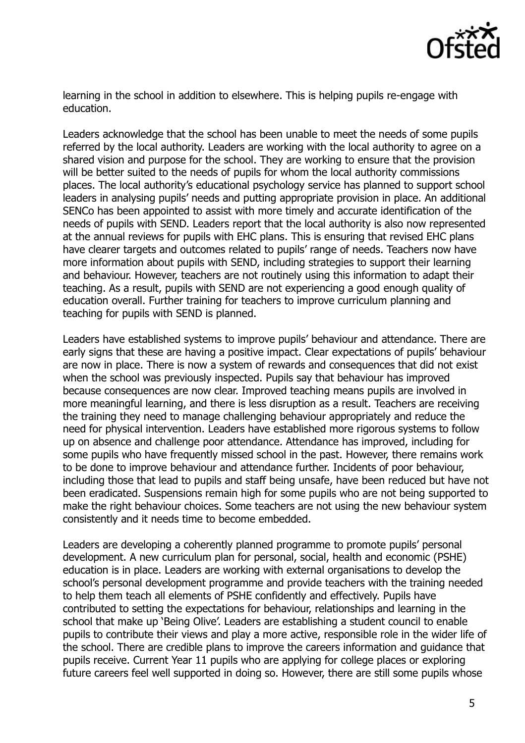

learning in the school in addition to elsewhere. This is helping pupils re-engage with education.

Leaders acknowledge that the school has been unable to meet the needs of some pupils referred by the local authority. Leaders are working with the local authority to agree on a shared vision and purpose for the school. They are working to ensure that the provision will be better suited to the needs of pupils for whom the local authority commissions places. The local authority's educational psychology service has planned to support school leaders in analysing pupils' needs and putting appropriate provision in place. An additional SENCo has been appointed to assist with more timely and accurate identification of the needs of pupils with SEND. Leaders report that the local authority is also now represented at the annual reviews for pupils with EHC plans. This is ensuring that revised EHC plans have clearer targets and outcomes related to pupils' range of needs. Teachers now have more information about pupils with SEND, including strategies to support their learning and behaviour. However, teachers are not routinely using this information to adapt their teaching. As a result, pupils with SEND are not experiencing a good enough quality of education overall. Further training for teachers to improve curriculum planning and teaching for pupils with SEND is planned.

Leaders have established systems to improve pupils' behaviour and attendance. There are early signs that these are having a positive impact. Clear expectations of pupils' behaviour are now in place. There is now a system of rewards and consequences that did not exist when the school was previously inspected. Pupils say that behaviour has improved because consequences are now clear. Improved teaching means pupils are involved in more meaningful learning, and there is less disruption as a result. Teachers are receiving the training they need to manage challenging behaviour appropriately and reduce the need for physical intervention. Leaders have established more rigorous systems to follow up on absence and challenge poor attendance. Attendance has improved, including for some pupils who have frequently missed school in the past. However, there remains work to be done to improve behaviour and attendance further. Incidents of poor behaviour, including those that lead to pupils and staff being unsafe, have been reduced but have not been eradicated. Suspensions remain high for some pupils who are not being supported to make the right behaviour choices. Some teachers are not using the new behaviour system consistently and it needs time to become embedded.

Leaders are developing a coherently planned programme to promote pupils' personal development. A new curriculum plan for personal, social, health and economic (PSHE) education is in place. Leaders are working with external organisations to develop the school's personal development programme and provide teachers with the training needed to help them teach all elements of PSHE confidently and effectively. Pupils have contributed to setting the expectations for behaviour, relationships and learning in the school that make up 'Being Olive'. Leaders are establishing a student council to enable pupils to contribute their views and play a more active, responsible role in the wider life of the school. There are credible plans to improve the careers information and guidance that pupils receive. Current Year 11 pupils who are applying for college places or exploring future careers feel well supported in doing so. However, there are still some pupils whose